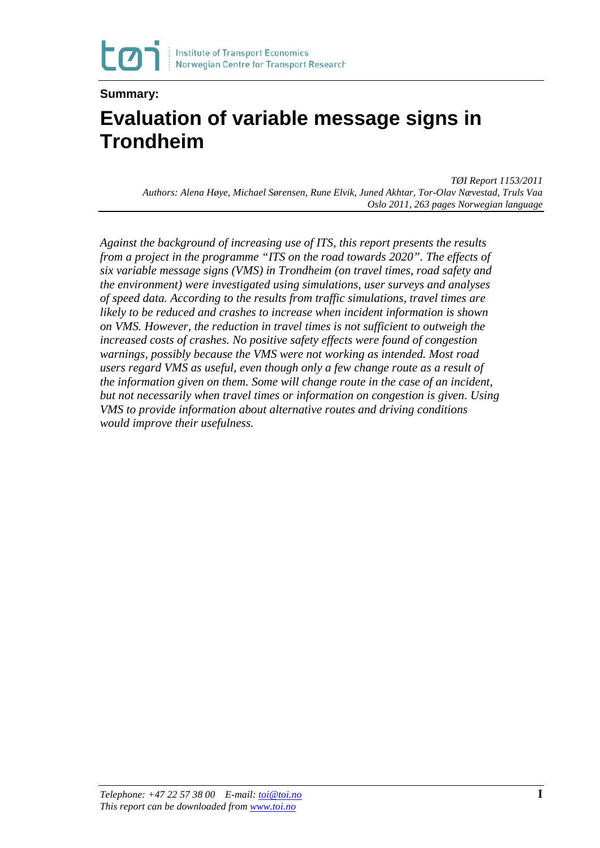

#### **Summary: Evaluation of variable message signs in Trondheim**

*TØI Report 1153/2011 Authors: Alena Høye, Michael Sørensen, Rune Elvik, Juned Akhtar, Tor-Olav Nævestad, Truls Vaa Oslo 2011, 263 pages Norwegian language*

*Against the background of increasing use of ITS, this report presents the results from a project in the programme "ITS on the road towards 2020". The effects of six variable message signs (VMS) in Trondheim (on travel times, road safety and the environment) were investigated using simulations, user surveys and analyses of speed data. According to the results from traffic simulations, travel times are likely to be reduced and crashes to increase when incident information is shown on VMS. However, the reduction in travel times is not sufficient to outweigh the increased costs of crashes. No positive safety effects were found of congestion warnings, possibly because the VMS were not working as intended. Most road users regard VMS as useful, even though only a few change route as a result of the information given on them. Some will change route in the case of an incident, but not necessarily when travel times or information on congestion is given. Using VMS to provide information about alternative routes and driving conditions would improve their usefulness.*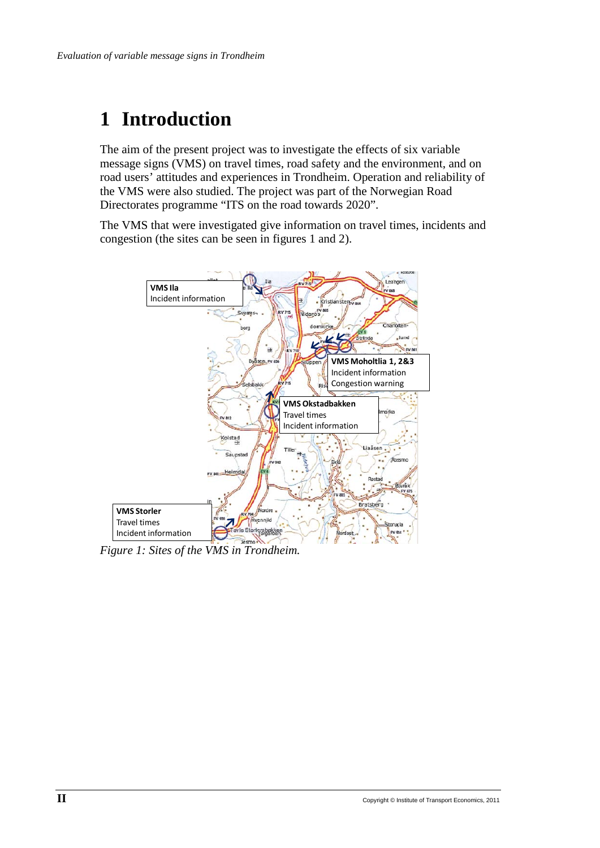# **1 Introduction**

The aim of the present project was to investigate the effects of six variable message signs (VMS) on travel times, road safety and the environment, and on road users' attitudes and experiences in Trondheim. Operation and reliability of the VMS were also studied. The project was part of the Norwegian Road Directorates programme "ITS on the road towards 2020".

The VMS that were investigated give information on travel times, incidents and congestion (the sites can be seen in figures 1 and 2).



*Figure 1: Sites of the VMS in Trondheim.*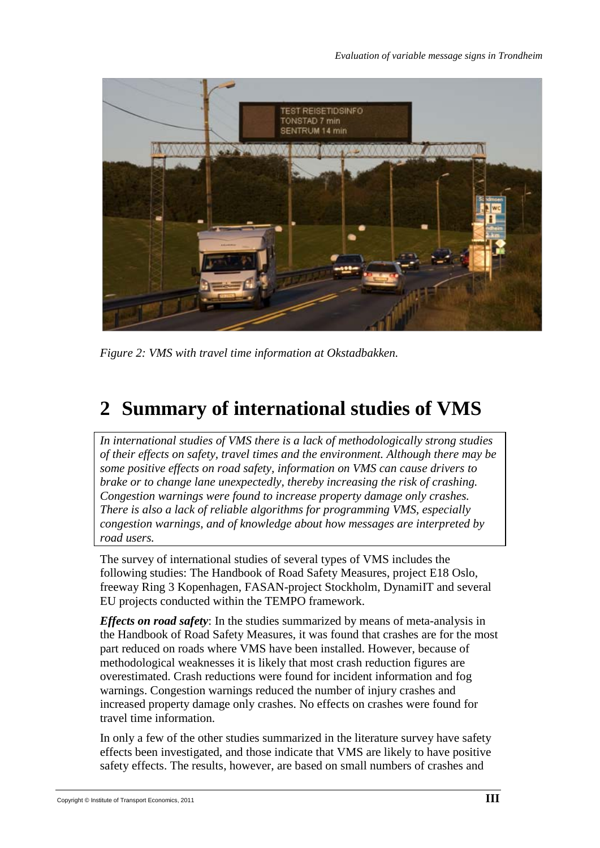

*Figure 2: VMS with travel time information at Okstadbakken.*

# **2 Summary of international studies of VMS**

*In international studies of VMS there is a lack of methodologically strong studies of their effects on safety, travel times and the environment. Although there may be some positive effects on road safety, information on VMS can cause drivers to brake or to change lane unexpectedly, thereby increasing the risk of crashing. Congestion warnings were found to increase property damage only crashes. There is also a lack of reliable algorithms for programming VMS, especially congestion warnings, and of knowledge about how messages are interpreted by road users.* 

The survey of international studies of several types of VMS includes the following studies: The Handbook of Road Safety Measures, project E18 Oslo, freeway Ring 3 Kopenhagen, FASAN-project Stockholm, DynamiIT and several EU projects conducted within the TEMPO framework.

*Effects on road safety*: In the studies summarized by means of meta-analysis in the Handbook of Road Safety Measures, it was found that crashes are for the most part reduced on roads where VMS have been installed. However, because of methodological weaknesses it is likely that most crash reduction figures are overestimated. Crash reductions were found for incident information and fog warnings. Congestion warnings reduced the number of injury crashes and increased property damage only crashes. No effects on crashes were found for travel time information.

In only a few of the other studies summarized in the literature survey have safety effects been investigated, and those indicate that VMS are likely to have positive safety effects. The results, however, are based on small numbers of crashes and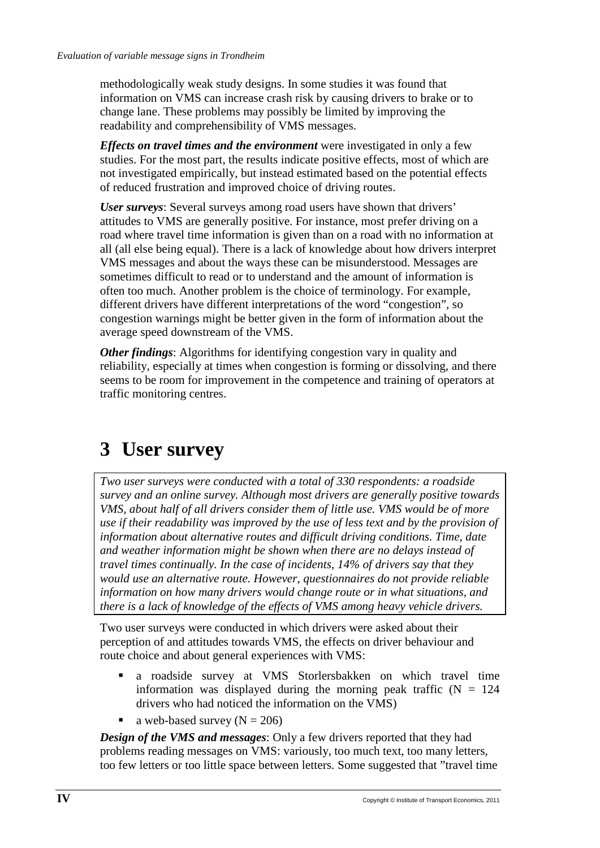methodologically weak study designs. In some studies it was found that information on VMS can increase crash risk by causing drivers to brake or to change lane. These problems may possibly be limited by improving the readability and comprehensibility of VMS messages.

*Effects on travel times and the environment* were investigated in only a few studies. For the most part, the results indicate positive effects, most of which are not investigated empirically, but instead estimated based on the potential effects of reduced frustration and improved choice of driving routes.

*User surveys*: Several surveys among road users have shown that drivers' attitudes to VMS are generally positive. For instance, most prefer driving on a road where travel time information is given than on a road with no information at all (all else being equal). There is a lack of knowledge about how drivers interpret VMS messages and about the ways these can be misunderstood. Messages are sometimes difficult to read or to understand and the amount of information is often too much. Another problem is the choice of terminology. For example, different drivers have different interpretations of the word "congestion", so congestion warnings might be better given in the form of information about the average speed downstream of the VMS.

*Other findings:* Algorithms for identifying congestion vary in quality and reliability, especially at times when congestion is forming or dissolving, and there seems to be room for improvement in the competence and training of operators at traffic monitoring centres.

## **3 User survey**

*Two user surveys were conducted with a total of 330 respondents: a roadside survey and an online survey. Although most drivers are generally positive towards VMS, about half of all drivers consider them of little use. VMS would be of more use if their readability was improved by the use of less text and by the provision of information about alternative routes and difficult driving conditions. Time, date and weather information might be shown when there are no delays instead of travel times continually. In the case of incidents, 14% of drivers say that they would use an alternative route. However, questionnaires do not provide reliable information on how many drivers would change route or in what situations, and there is a lack of knowledge of the effects of VMS among heavy vehicle drivers.* 

Two user surveys were conducted in which drivers were asked about their perception of and attitudes towards VMS, the effects on driver behaviour and route choice and about general experiences with VMS:

- a roadside survey at VMS Storlersbakken on which travel time information was displayed during the morning peak traffic  $(N = 124)$ drivers who had noticed the information on the VMS)
- a web-based survey  $(N = 206)$

*Design of the VMS and messages*: Only a few drivers reported that they had problems reading messages on VMS: variously, too much text, too many letters, too few letters or too little space between letters. Some suggested that "travel time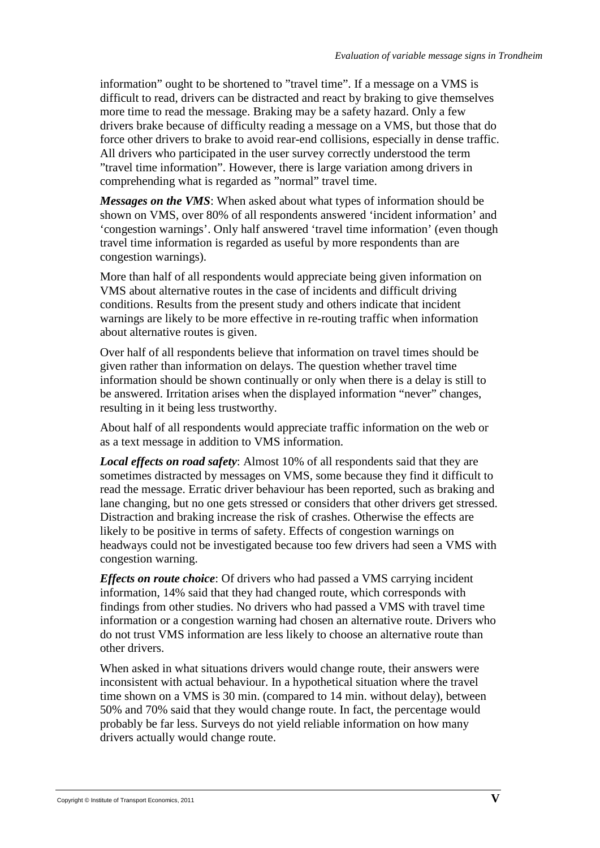information" ought to be shortened to "travel time". If a message on a VMS is difficult to read, drivers can be distracted and react by braking to give themselves more time to read the message. Braking may be a safety hazard. Only a few drivers brake because of difficulty reading a message on a VMS, but those that do force other drivers to brake to avoid rear-end collisions, especially in dense traffic. All drivers who participated in the user survey correctly understood the term "travel time information". However, there is large variation among drivers in comprehending what is regarded as "normal" travel time.

*Messages on the VMS*: When asked about what types of information should be shown on VMS, over 80% of all respondents answered 'incident information' and 'congestion warnings'. Only half answered 'travel time information' (even though travel time information is regarded as useful by more respondents than are congestion warnings).

More than half of all respondents would appreciate being given information on VMS about alternative routes in the case of incidents and difficult driving conditions. Results from the present study and others indicate that incident warnings are likely to be more effective in re-routing traffic when information about alternative routes is given.

Over half of all respondents believe that information on travel times should be given rather than information on delays. The question whether travel time information should be shown continually or only when there is a delay is still to be answered. Irritation arises when the displayed information "never" changes, resulting in it being less trustworthy.

About half of all respondents would appreciate traffic information on the web or as a text message in addition to VMS information.

*Local effects on road safety*: Almost 10% of all respondents said that they are sometimes distracted by messages on VMS, some because they find it difficult to read the message. Erratic driver behaviour has been reported, such as braking and lane changing, but no one gets stressed or considers that other drivers get stressed. Distraction and braking increase the risk of crashes. Otherwise the effects are likely to be positive in terms of safety. Effects of congestion warnings on headways could not be investigated because too few drivers had seen a VMS with congestion warning.

*Effects on route choice*: Of drivers who had passed a VMS carrying incident information, 14% said that they had changed route, which corresponds with findings from other studies. No drivers who had passed a VMS with travel time information or a congestion warning had chosen an alternative route. Drivers who do not trust VMS information are less likely to choose an alternative route than other drivers.

When asked in what situations drivers would change route, their answers were inconsistent with actual behaviour. In a hypothetical situation where the travel time shown on a VMS is 30 min. (compared to 14 min. without delay), between 50% and 70% said that they would change route. In fact, the percentage would probably be far less. Surveys do not yield reliable information on how many drivers actually would change route.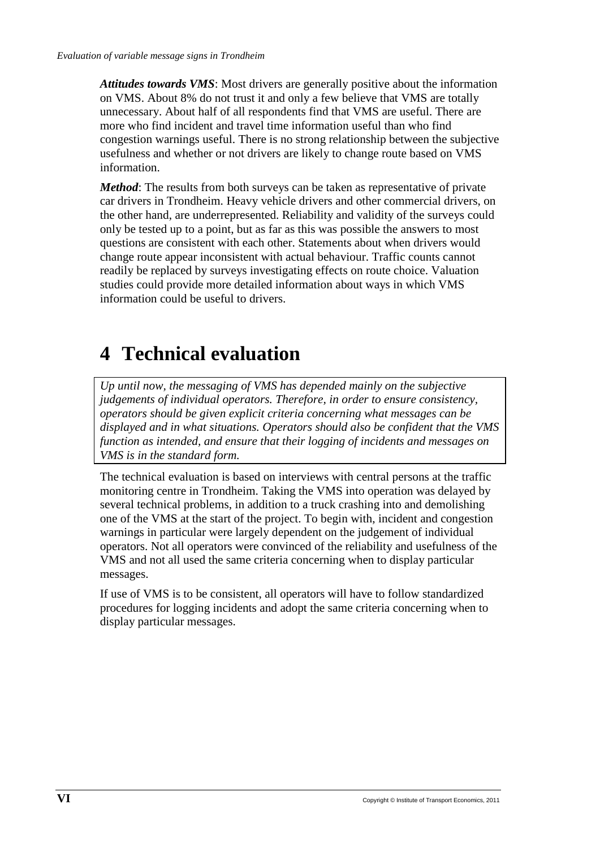*Attitudes towards VMS*: Most drivers are generally positive about the information on VMS. About 8% do not trust it and only a few believe that VMS are totally unnecessary. About half of all respondents find that VMS are useful. There are more who find incident and travel time information useful than who find congestion warnings useful. There is no strong relationship between the subjective usefulness and whether or not drivers are likely to change route based on VMS information.

*Method*: The results from both surveys can be taken as representative of private car drivers in Trondheim. Heavy vehicle drivers and other commercial drivers, on the other hand, are underrepresented. Reliability and validity of the surveys could only be tested up to a point, but as far as this was possible the answers to most questions are consistent with each other. Statements about when drivers would change route appear inconsistent with actual behaviour. Traffic counts cannot readily be replaced by surveys investigating effects on route choice. Valuation studies could provide more detailed information about ways in which VMS information could be useful to drivers.

# **4 Technical evaluation**

*Up until now, the messaging of VMS has depended mainly on the subjective judgements of individual operators. Therefore, in order to ensure consistency, operators should be given explicit criteria concerning what messages can be displayed and in what situations. Operators should also be confident that the VMS function as intended, and ensure that their logging of incidents and messages on VMS is in the standard form.* 

The technical evaluation is based on interviews with central persons at the traffic monitoring centre in Trondheim. Taking the VMS into operation was delayed by several technical problems, in addition to a truck crashing into and demolishing one of the VMS at the start of the project. To begin with, incident and congestion warnings in particular were largely dependent on the judgement of individual operators. Not all operators were convinced of the reliability and usefulness of the VMS and not all used the same criteria concerning when to display particular messages.

If use of VMS is to be consistent, all operators will have to follow standardized procedures for logging incidents and adopt the same criteria concerning when to display particular messages.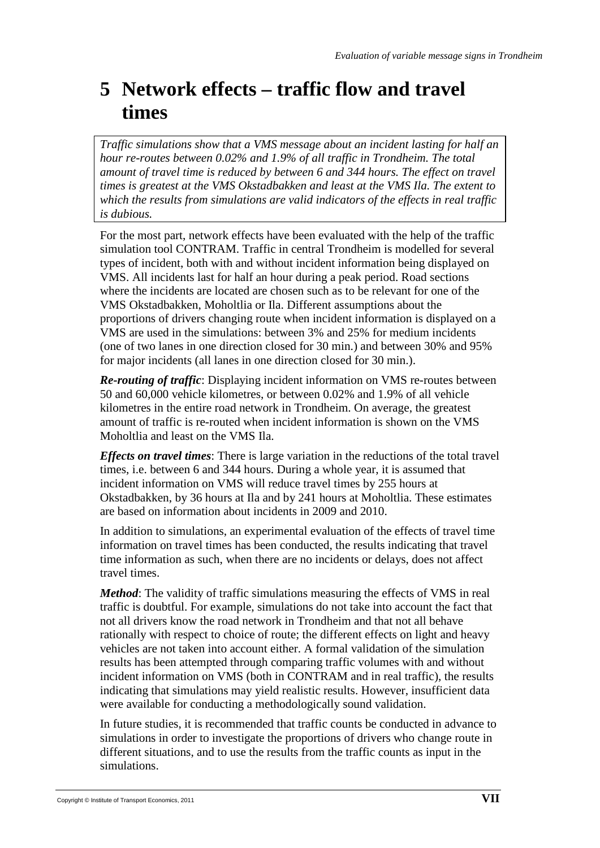## **5 Network effects – traffic flow and travel times**

*Traffic simulations show that a VMS message about an incident lasting for half an hour re-routes between 0.02% and 1.9% of all traffic in Trondheim. The total amount of travel time is reduced by between 6 and 344 hours. The effect on travel times is greatest at the VMS Okstadbakken and least at the VMS Ila. The extent to which the results from simulations are valid indicators of the effects in real traffic is dubious.* 

For the most part, network effects have been evaluated with the help of the traffic simulation tool CONTRAM. Traffic in central Trondheim is modelled for several types of incident, both with and without incident information being displayed on VMS. All incidents last for half an hour during a peak period. Road sections where the incidents are located are chosen such as to be relevant for one of the VMS Okstadbakken, Moholtlia or Ila. Different assumptions about the proportions of drivers changing route when incident information is displayed on a VMS are used in the simulations: between 3% and 25% for medium incidents (one of two lanes in one direction closed for 30 min.) and between 30% and 95% for major incidents (all lanes in one direction closed for 30 min.).

*Re-routing of traffic*: Displaying incident information on VMS re-routes between 50 and 60,000 vehicle kilometres, or between 0.02% and 1.9% of all vehicle kilometres in the entire road network in Trondheim. On average, the greatest amount of traffic is re-routed when incident information is shown on the VMS Moholtlia and least on the VMS Ila.

*Effects on travel times*: There is large variation in the reductions of the total travel times, i.e. between 6 and 344 hours. During a whole year, it is assumed that incident information on VMS will reduce travel times by 255 hours at Okstadbakken, by 36 hours at Ila and by 241 hours at Moholtlia. These estimates are based on information about incidents in 2009 and 2010.

In addition to simulations, an experimental evaluation of the effects of travel time information on travel times has been conducted, the results indicating that travel time information as such, when there are no incidents or delays, does not affect travel times.

*Method*: The validity of traffic simulations measuring the effects of VMS in real traffic is doubtful. For example, simulations do not take into account the fact that not all drivers know the road network in Trondheim and that not all behave rationally with respect to choice of route; the different effects on light and heavy vehicles are not taken into account either. A formal validation of the simulation results has been attempted through comparing traffic volumes with and without incident information on VMS (both in CONTRAM and in real traffic), the results indicating that simulations may yield realistic results. However, insufficient data were available for conducting a methodologically sound validation.

In future studies, it is recommended that traffic counts be conducted in advance to simulations in order to investigate the proportions of drivers who change route in different situations, and to use the results from the traffic counts as input in the simulations.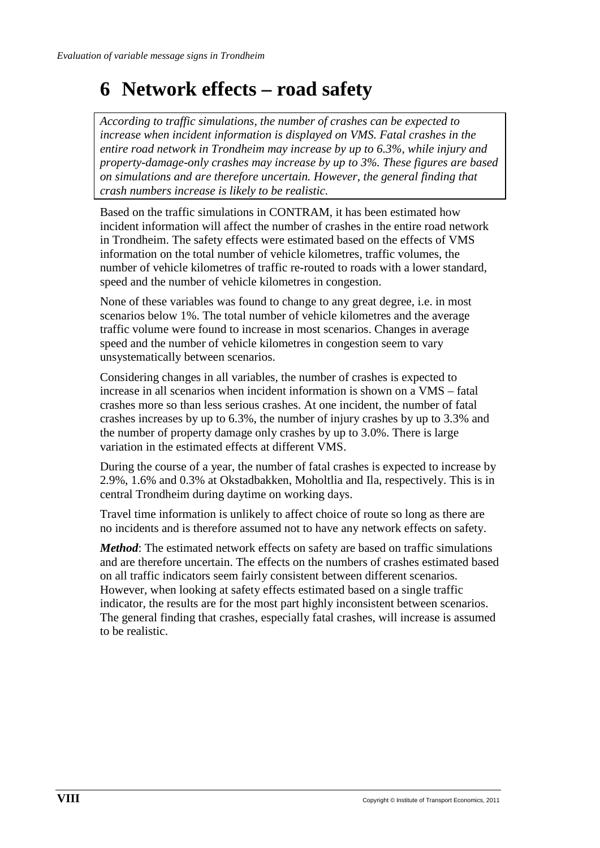#### **6 Network effects – road safety**

*According to traffic simulations, the number of crashes can be expected to increase when incident information is displayed on VMS. Fatal crashes in the entire road network in Trondheim may increase by up to 6.3%, while injury and property-damage-only crashes may increase by up to 3%. These figures are based on simulations and are therefore uncertain. However, the general finding that crash numbers increase is likely to be realistic.* 

Based on the traffic simulations in CONTRAM, it has been estimated how incident information will affect the number of crashes in the entire road network in Trondheim. The safety effects were estimated based on the effects of VMS information on the total number of vehicle kilometres, traffic volumes, the number of vehicle kilometres of traffic re-routed to roads with a lower standard, speed and the number of vehicle kilometres in congestion.

None of these variables was found to change to any great degree, i.e. in most scenarios below 1%. The total number of vehicle kilometres and the average traffic volume were found to increase in most scenarios. Changes in average speed and the number of vehicle kilometres in congestion seem to vary unsystematically between scenarios.

Considering changes in all variables, the number of crashes is expected to increase in all scenarios when incident information is shown on a VMS – fatal crashes more so than less serious crashes. At one incident, the number of fatal crashes increases by up to 6.3%, the number of injury crashes by up to 3.3% and the number of property damage only crashes by up to 3.0%. There is large variation in the estimated effects at different VMS.

During the course of a year, the number of fatal crashes is expected to increase by 2.9%, 1.6% and 0.3% at Okstadbakken, Moholtlia and Ila, respectively. This is in central Trondheim during daytime on working days.

Travel time information is unlikely to affect choice of route so long as there are no incidents and is therefore assumed not to have any network effects on safety.

*Method*: The estimated network effects on safety are based on traffic simulations and are therefore uncertain. The effects on the numbers of crashes estimated based on all traffic indicators seem fairly consistent between different scenarios. However, when looking at safety effects estimated based on a single traffic indicator, the results are for the most part highly inconsistent between scenarios. The general finding that crashes, especially fatal crashes, will increase is assumed to be realistic.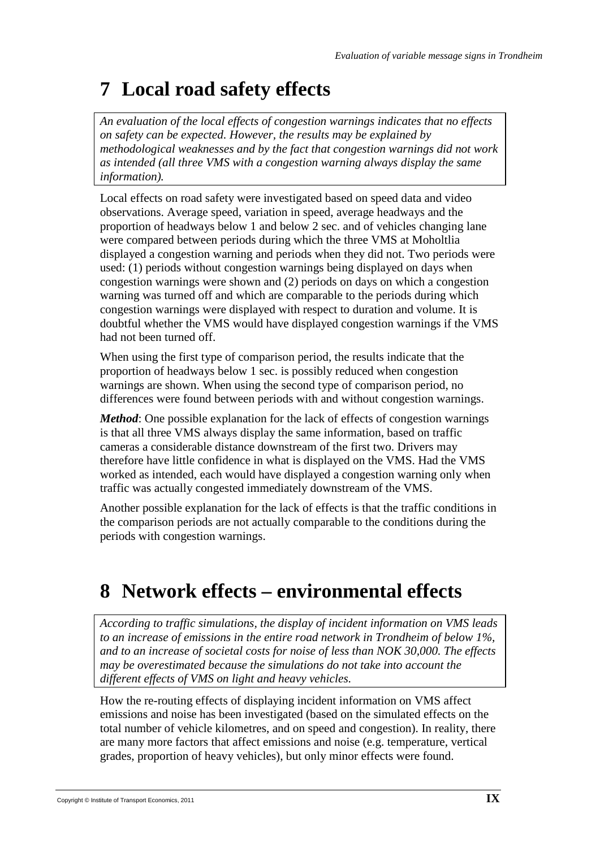# **7 Local road safety effects**

*An evaluation of the local effects of congestion warnings indicates that no effects on safety can be expected. However, the results may be explained by methodological weaknesses and by the fact that congestion warnings did not work as intended (all three VMS with a congestion warning always display the same information).*

Local effects on road safety were investigated based on speed data and video observations. Average speed, variation in speed, average headways and the proportion of headways below 1 and below 2 sec. and of vehicles changing lane were compared between periods during which the three VMS at Moholtlia displayed a congestion warning and periods when they did not. Two periods were used: (1) periods without congestion warnings being displayed on days when congestion warnings were shown and (2) periods on days on which a congestion warning was turned off and which are comparable to the periods during which congestion warnings were displayed with respect to duration and volume. It is doubtful whether the VMS would have displayed congestion warnings if the VMS had not been turned off.

When using the first type of comparison period, the results indicate that the proportion of headways below 1 sec. is possibly reduced when congestion warnings are shown. When using the second type of comparison period, no differences were found between periods with and without congestion warnings.

*Method*: One possible explanation for the lack of effects of congestion warnings is that all three VMS always display the same information, based on traffic cameras a considerable distance downstream of the first two. Drivers may therefore have little confidence in what is displayed on the VMS. Had the VMS worked as intended, each would have displayed a congestion warning only when traffic was actually congested immediately downstream of the VMS.

Another possible explanation for the lack of effects is that the traffic conditions in the comparison periods are not actually comparable to the conditions during the periods with congestion warnings.

# **8 Network effects – environmental effects**

*According to traffic simulations, the display of incident information on VMS leads to an increase of emissions in the entire road network in Trondheim of below 1%, and to an increase of societal costs for noise of less than NOK 30,000. The effects may be overestimated because the simulations do not take into account the different effects of VMS on light and heavy vehicles.*

How the re-routing effects of displaying incident information on VMS affect emissions and noise has been investigated (based on the simulated effects on the total number of vehicle kilometres, and on speed and congestion). In reality, there are many more factors that affect emissions and noise (e.g. temperature, vertical grades, proportion of heavy vehicles), but only minor effects were found.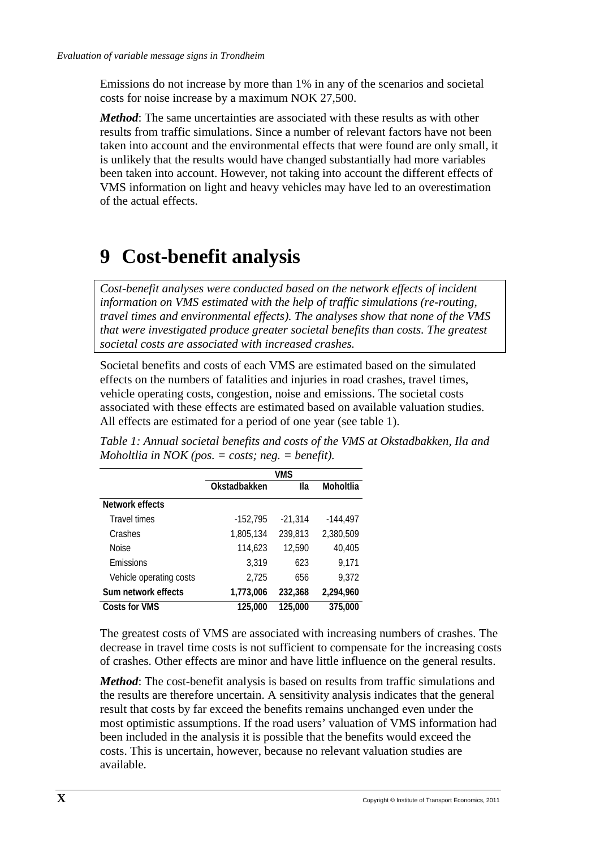Emissions do not increase by more than 1% in any of the scenarios and societal costs for noise increase by a maximum NOK 27,500.

*Method*: The same uncertainties are associated with these results as with other results from traffic simulations. Since a number of relevant factors have not been taken into account and the environmental effects that were found are only small, it is unlikely that the results would have changed substantially had more variables been taken into account. However, not taking into account the different effects of VMS information on light and heavy vehicles may have led to an overestimation of the actual effects.

## **9 Cost-benefit analysis**

*Cost-benefit analyses were conducted based on the network effects of incident information on VMS estimated with the help of traffic simulations (re-routing, travel times and environmental effects). The analyses show that none of the VMS that were investigated produce greater societal benefits than costs. The greatest societal costs are associated with increased crashes.* 

Societal benefits and costs of each VMS are estimated based on the simulated effects on the numbers of fatalities and injuries in road crashes, travel times, vehicle operating costs, congestion, noise and emissions. The societal costs associated with these effects are estimated based on available valuation studies. All effects are estimated for a period of one year (see table 1).

|                         | <b>VMS</b>   |           |            |
|-------------------------|--------------|-----------|------------|
|                         | Okstadbakken | lla       | Moholtlia  |
| Network effects         |              |           |            |
| <b>Travel times</b>     | $-152,795$   | $-21,314$ | $-144,497$ |
| Crashes                 | 1,805,134    | 239,813   | 2,380,509  |
| Noise                   | 114,623      | 12,590    | 40,405     |
| Emissions               | 3,319        | 623       | 9.171      |
| Vehicle operating costs | 2,725        | 656       | 9,372      |
| Sum network effects     | 1,773,006    | 232,368   | 2,294,960  |
| Costs for VMS           | 125,000      | 125,000   | 375,000    |

*Table 1: Annual societal benefits and costs of the VMS at Okstadbakken, Ila and Moholtlia in NOK (pos. = costs; neg. = benefit).*

The greatest costs of VMS are associated with increasing numbers of crashes. The decrease in travel time costs is not sufficient to compensate for the increasing costs of crashes. Other effects are minor and have little influence on the general results.

*Method*: The cost-benefit analysis is based on results from traffic simulations and the results are therefore uncertain. A sensitivity analysis indicates that the general result that costs by far exceed the benefits remains unchanged even under the most optimistic assumptions. If the road users' valuation of VMS information had been included in the analysis it is possible that the benefits would exceed the costs. This is uncertain, however, because no relevant valuation studies are available.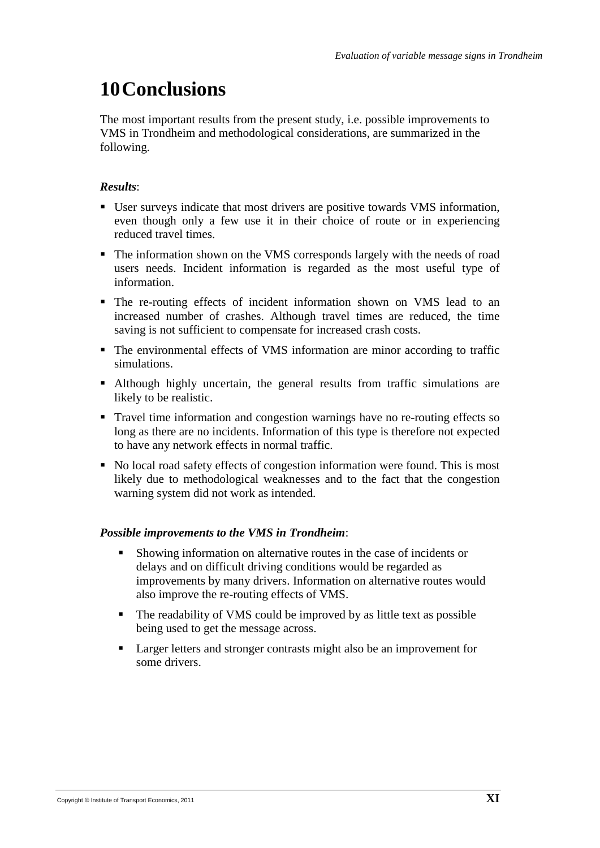### **10Conclusions**

The most important results from the present study, i.e. possible improvements to VMS in Trondheim and methodological considerations, are summarized in the following.

#### *Results*:

- User surveys indicate that most drivers are positive towards VMS information, even though only a few use it in their choice of route or in experiencing reduced travel times.
- The information shown on the VMS corresponds largely with the needs of road users needs. Incident information is regarded as the most useful type of information.
- The re-routing effects of incident information shown on VMS lead to an increased number of crashes. Although travel times are reduced, the time saving is not sufficient to compensate for increased crash costs.
- The environmental effects of VMS information are minor according to traffic simulations.
- Although highly uncertain, the general results from traffic simulations are likely to be realistic.
- Travel time information and congestion warnings have no re-routing effects so long as there are no incidents. Information of this type is therefore not expected to have any network effects in normal traffic.
- No local road safety effects of congestion information were found. This is most likely due to methodological weaknesses and to the fact that the congestion warning system did not work as intended.

#### *Possible improvements to the VMS in Trondheim*:

- Showing information on alternative routes in the case of incidents or delays and on difficult driving conditions would be regarded as improvements by many drivers. Information on alternative routes would also improve the re-routing effects of VMS.
- The readability of VMS could be improved by as little text as possible being used to get the message across.
- **Larger letters and stronger contrasts might also be an improvement for** some drivers.